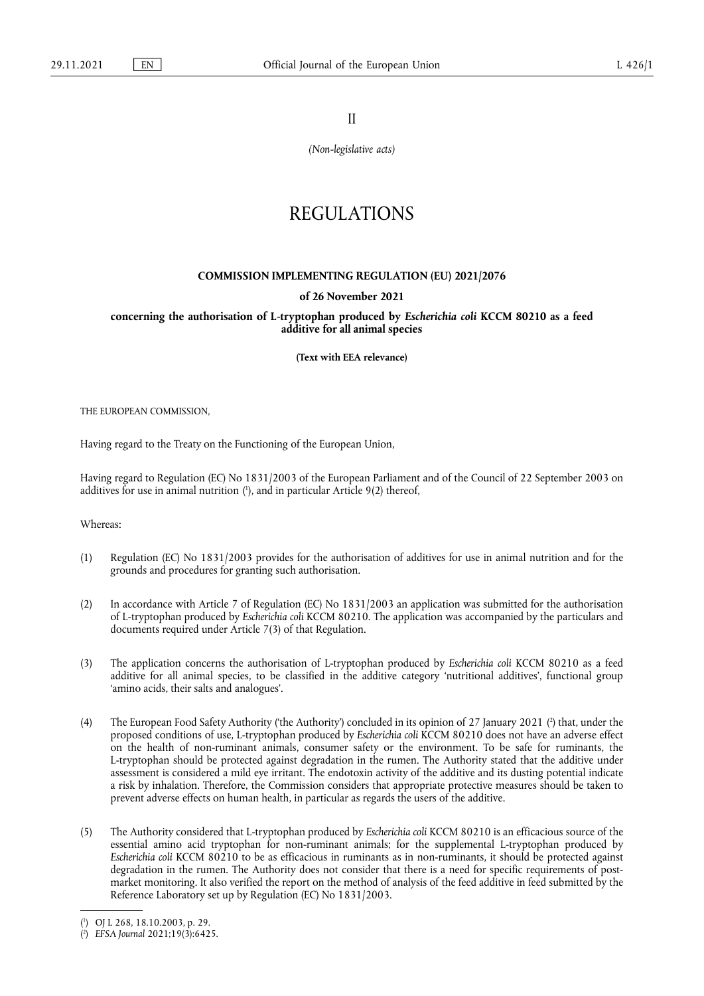II

*(Non-legislative acts)*

# REGULATIONS

### **COMMISSION IMPLEMENTING REGULATION (EU) 2021/2076**

#### **of 26 November 2021**

**concerning the authorisation of L-tryptophan produced by** *Escherichia coli* **KCCM 80210 as a feed additive for all animal species** 

**(Text with EEA relevance)** 

THE EUROPEAN COMMISSION,

Having regard to the Treaty on the Functioning of the European Union,

<span id="page-0-2"></span>Having regard to Regulation (EC) No 1831/2003 of the European Parliament and of the Council of 22 September 2003 on additives for use in animal nutrition ( 1 [\),](#page-0-0) and in particular Article 9(2) thereof,

Whereas:

- (1) Regulation (EC) No 1831/2003 provides for the authorisation of additives for use in animal nutrition and for the grounds and procedures for granting such authorisation.
- (2) In accordance with Article 7 of Regulation (EC) No 1831/2003 an application was submitted for the authorisation of L-tryptophan produced by *Escherichia coli* KCCM 80210. The application was accompanied by the particulars and documents required under Article 7(3) of that Regulation.
- (3) The application concerns the authorisation of L-tryptophan produced by *Escherichia coli* KCCM 80210 as a feed additive for all animal species, to be classified in the additive category 'nutritional additives', functional group 'amino acids, their salts and analogues'.
- <span id="page-0-3"></span>(4) The European Food Safety Authority ('the Authority') concluded in its opinion of 27 January 2021 [\(](#page-0-1) 2 ) that, under the proposed conditions of use, L-tryptophan produced by *Escherichia coli* KCCM 80210 does not have an adverse effect on the health of non-ruminant animals, consumer safety or the environment. To be safe for ruminants, the L-tryptophan should be protected against degradation in the rumen. The Authority stated that the additive under assessment is considered a mild eye irritant. The endotoxin activity of the additive and its dusting potential indicate a risk by inhalation. Therefore, the Commission considers that appropriate protective measures should be taken to prevent adverse effects on human health, in particular as regards the users of the additive.
- (5) The Authority considered that L-tryptophan produced by *Escherichia coli* KCCM 80210 is an efficacious source of the essential amino acid tryptophan for non-ruminant animals; for the supplemental L-tryptophan produced by *Escherichia coli* KCCM 80210 to be as efficacious in ruminants as in non-ruminants, it should be protected against degradation in the rumen. The Authority does not consider that there is a need for specific requirements of postmarket monitoring. It also verified the report on the method of analysis of the feed additive in feed submitted by the Reference Laboratory set up by Regulation (EC) No 1831/2003.

<span id="page-0-0"></span>[<sup>\(</sup>](#page-0-2) 1 ) OJ L 268, 18.10.2003, p. 29.

<span id="page-0-1"></span><sup>(</sup> 2 [\)](#page-0-3) *EFSA Journal* 2021;19(3):6425.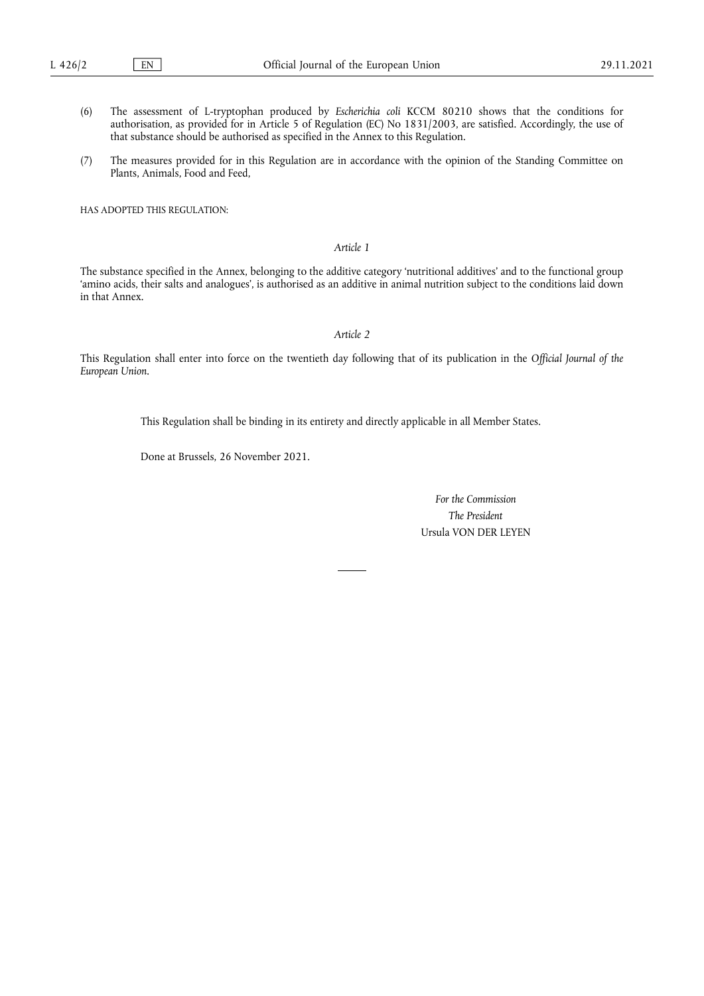- (6) The assessment of L-tryptophan produced by *Escherichia coli* KCCM 80210 shows that the conditions for authorisation, as provided for in Article 5 of Regulation (EC) No 1831/2003, are satisfied. Accordingly, the use of that substance should be authorised as specified in the Annex to this Regulation.
- (7) The measures provided for in this Regulation are in accordance with the opinion of the Standing Committee on Plants, Animals, Food and Feed,

HAS ADOPTED THIS REGULATION:

## *Article 1*

The substance specified in the Annex, belonging to the additive category 'nutritional additives' and to the functional group 'amino acids, their salts and analogues', is authorised as an additive in animal nutrition subject to the conditions laid down in that Annex.

## *Article 2*

This Regulation shall enter into force on the twentieth day following that of its publication in the *Official Journal of the European Union*.

This Regulation shall be binding in its entirety and directly applicable in all Member States.

Done at Brussels, 26 November 2021.

*For the Commission The President* Ursula VON DER LEYEN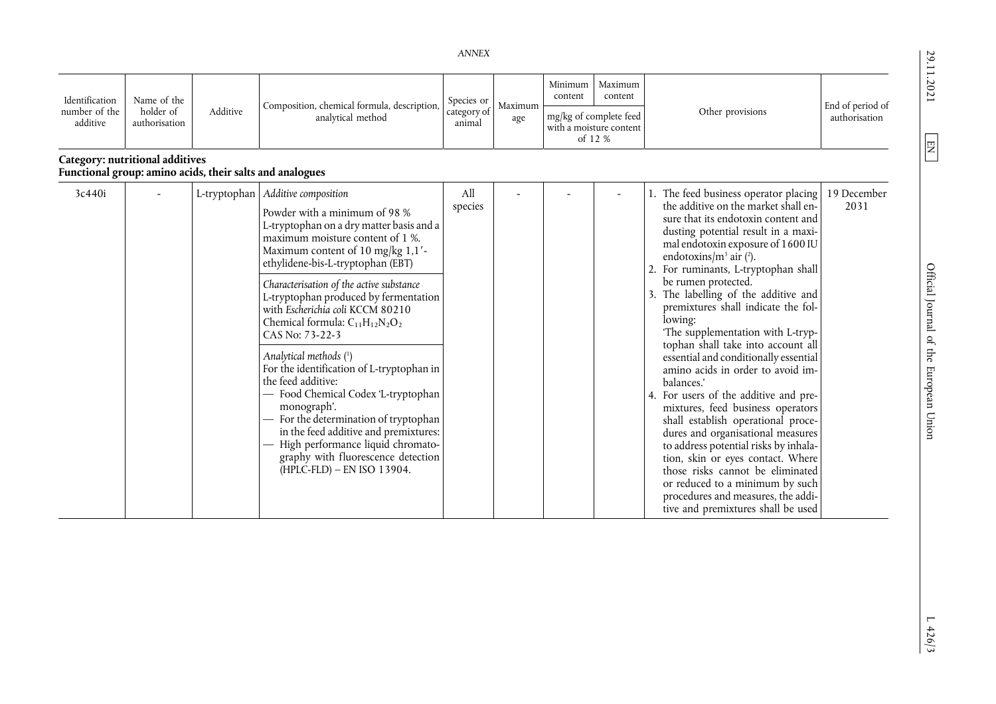29.11.2021

<span id="page-2-1"></span> $\boxed{\text{EN}}$ 

<span id="page-2-0"></span>*ANNEX* 

| Identification<br>number of the<br>additive | Name of the<br>holder of<br>authorisation | Additive     | Composition, chemical formula, description,<br>analytical method                                                                                                                                                                                                                                                                                                                                                                                                                                                                                                                                                                                                                                                                                  | Species or<br>category of<br>animal | Maximum<br>age | Minimum<br>content<br>mg/kg of complete feed | Maximum<br>content<br>with a moisture content<br>of 12 % | Other provisions                                                                                                                                                                                                                                                                                                                                                                                                                                                                                                                                                                                                                                                                                                                                                                                                                                                                                                                                | End of period of<br>authorisation |
|---------------------------------------------|-------------------------------------------|--------------|---------------------------------------------------------------------------------------------------------------------------------------------------------------------------------------------------------------------------------------------------------------------------------------------------------------------------------------------------------------------------------------------------------------------------------------------------------------------------------------------------------------------------------------------------------------------------------------------------------------------------------------------------------------------------------------------------------------------------------------------------|-------------------------------------|----------------|----------------------------------------------|----------------------------------------------------------|-------------------------------------------------------------------------------------------------------------------------------------------------------------------------------------------------------------------------------------------------------------------------------------------------------------------------------------------------------------------------------------------------------------------------------------------------------------------------------------------------------------------------------------------------------------------------------------------------------------------------------------------------------------------------------------------------------------------------------------------------------------------------------------------------------------------------------------------------------------------------------------------------------------------------------------------------|-----------------------------------|
| Category: nutritional additives             |                                           |              | Functional group: amino acids, their salts and analogues                                                                                                                                                                                                                                                                                                                                                                                                                                                                                                                                                                                                                                                                                          |                                     |                |                                              |                                                          |                                                                                                                                                                                                                                                                                                                                                                                                                                                                                                                                                                                                                                                                                                                                                                                                                                                                                                                                                 |                                   |
| 3c440i                                      |                                           | L-tryptophan | Additive composition<br>Powder with a minimum of 98 %<br>L-tryptophan on a dry matter basis and a<br>maximum moisture content of 1 %.<br>Maximum content of 10 mg/kg 1,1'-<br>ethylidene-bis-L-tryptophan (EBT)<br>Characterisation of the active substance<br>L-tryptophan produced by fermentation<br>with Escherichia coli KCCM 80210<br>Chemical formula: $C_{11}H_{12}N_2O_2$<br>CAS No: 73-22-3<br>Analytical methods (1)<br>For the identification of L-tryptophan in<br>the feed additive:<br>- Food Chemical Codex 'L-tryptophan<br>monograph'.<br>For the determination of tryptophan<br>in the feed additive and premixtures:<br>High performance liquid chromato-<br>graphy with fluorescence detection<br>(HPLC-FLD) - EN ISO 13904. | All<br>species                      |                |                                              |                                                          | The feed business operator placing<br>the additive on the market shall en-<br>sure that its endotoxin content and<br>dusting potential result in a maxi-<br>mal endotoxin exposure of 1600 IU<br>endotoxins/ $m^3$ air (2).<br>For ruminants, L-tryptophan shall<br>be rumen protected.<br>The labelling of the additive and<br>premixtures shall indicate the fol-<br>lowing:<br>'The supplementation with L-tryp-<br>tophan shall take into account all<br>essential and conditionally essential<br>amino acids in order to avoid im-<br>balances.'<br>4. For users of the additive and pre-<br>mixtures, feed business operators<br>shall establish operational proce-<br>dures and organisational measures<br>to address potential risks by inhala-<br>tion, skin or eyes contact. Where<br>those risks cannot be eliminated<br>or reduced to a minimum by such<br>procedures and measures, the addi-<br>tive and premixtures shall be used | 19 December<br>2031               |